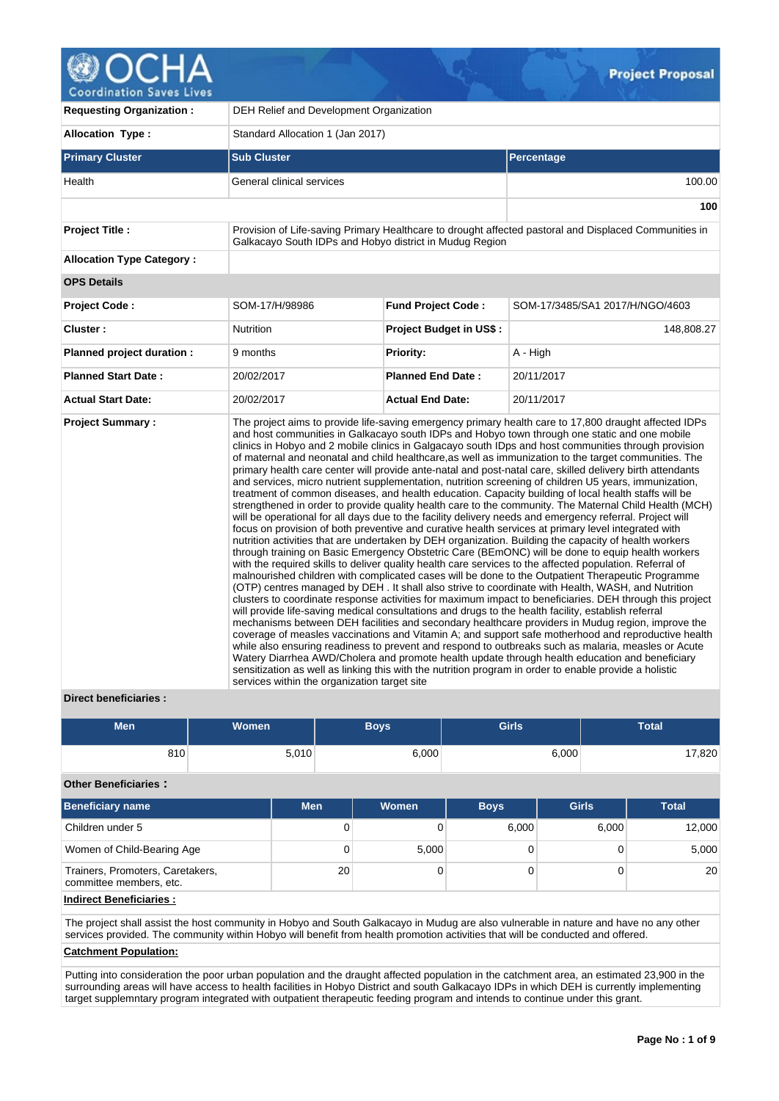**Project Proposal** 

**Coordination Saves Lives** 

| <b>Requesting Organization:</b>  | DEH Relief and Development Organization                 |                                |                                                                                                                                                                                                                                                                                                                                                                                                                                                                                                                                                                                                                                                                                                                                                                                                                                                                                                                                                                                                                                                                                                                                                                                                                                                                                                                                                                                                                                                                                                                                                                                                                                                                                                                                                                                                                                                                                                                                                                                                                                                                                                                                                                                                                                                                                                                                                                          |  |  |  |
|----------------------------------|---------------------------------------------------------|--------------------------------|--------------------------------------------------------------------------------------------------------------------------------------------------------------------------------------------------------------------------------------------------------------------------------------------------------------------------------------------------------------------------------------------------------------------------------------------------------------------------------------------------------------------------------------------------------------------------------------------------------------------------------------------------------------------------------------------------------------------------------------------------------------------------------------------------------------------------------------------------------------------------------------------------------------------------------------------------------------------------------------------------------------------------------------------------------------------------------------------------------------------------------------------------------------------------------------------------------------------------------------------------------------------------------------------------------------------------------------------------------------------------------------------------------------------------------------------------------------------------------------------------------------------------------------------------------------------------------------------------------------------------------------------------------------------------------------------------------------------------------------------------------------------------------------------------------------------------------------------------------------------------------------------------------------------------------------------------------------------------------------------------------------------------------------------------------------------------------------------------------------------------------------------------------------------------------------------------------------------------------------------------------------------------------------------------------------------------------------------------------------------------|--|--|--|
| Allocation Type:                 | Standard Allocation 1 (Jan 2017)                        |                                |                                                                                                                                                                                                                                                                                                                                                                                                                                                                                                                                                                                                                                                                                                                                                                                                                                                                                                                                                                                                                                                                                                                                                                                                                                                                                                                                                                                                                                                                                                                                                                                                                                                                                                                                                                                                                                                                                                                                                                                                                                                                                                                                                                                                                                                                                                                                                                          |  |  |  |
| <b>Primary Cluster</b>           | <b>Sub Cluster</b>                                      |                                | Percentage                                                                                                                                                                                                                                                                                                                                                                                                                                                                                                                                                                                                                                                                                                                                                                                                                                                                                                                                                                                                                                                                                                                                                                                                                                                                                                                                                                                                                                                                                                                                                                                                                                                                                                                                                                                                                                                                                                                                                                                                                                                                                                                                                                                                                                                                                                                                                               |  |  |  |
| Health                           | General clinical services                               |                                |                                                                                                                                                                                                                                                                                                                                                                                                                                                                                                                                                                                                                                                                                                                                                                                                                                                                                                                                                                                                                                                                                                                                                                                                                                                                                                                                                                                                                                                                                                                                                                                                                                                                                                                                                                                                                                                                                                                                                                                                                                                                                                                                                                                                                                                                                                                                                                          |  |  |  |
|                                  |                                                         |                                | 100                                                                                                                                                                                                                                                                                                                                                                                                                                                                                                                                                                                                                                                                                                                                                                                                                                                                                                                                                                                                                                                                                                                                                                                                                                                                                                                                                                                                                                                                                                                                                                                                                                                                                                                                                                                                                                                                                                                                                                                                                                                                                                                                                                                                                                                                                                                                                                      |  |  |  |
| Project Title :                  | Galkacayo South IDPs and Hobyo district in Mudug Region |                                | Provision of Life-saving Primary Healthcare to drought affected pastoral and Displaced Communities in                                                                                                                                                                                                                                                                                                                                                                                                                                                                                                                                                                                                                                                                                                                                                                                                                                                                                                                                                                                                                                                                                                                                                                                                                                                                                                                                                                                                                                                                                                                                                                                                                                                                                                                                                                                                                                                                                                                                                                                                                                                                                                                                                                                                                                                                    |  |  |  |
| <b>Allocation Type Category:</b> |                                                         |                                |                                                                                                                                                                                                                                                                                                                                                                                                                                                                                                                                                                                                                                                                                                                                                                                                                                                                                                                                                                                                                                                                                                                                                                                                                                                                                                                                                                                                                                                                                                                                                                                                                                                                                                                                                                                                                                                                                                                                                                                                                                                                                                                                                                                                                                                                                                                                                                          |  |  |  |
| <b>OPS Details</b>               |                                                         |                                |                                                                                                                                                                                                                                                                                                                                                                                                                                                                                                                                                                                                                                                                                                                                                                                                                                                                                                                                                                                                                                                                                                                                                                                                                                                                                                                                                                                                                                                                                                                                                                                                                                                                                                                                                                                                                                                                                                                                                                                                                                                                                                                                                                                                                                                                                                                                                                          |  |  |  |
| <b>Project Code:</b>             | SOM-17/H/98986                                          | <b>Fund Project Code:</b>      | SOM-17/3485/SA1 2017/H/NGO/4603                                                                                                                                                                                                                                                                                                                                                                                                                                                                                                                                                                                                                                                                                                                                                                                                                                                                                                                                                                                                                                                                                                                                                                                                                                                                                                                                                                                                                                                                                                                                                                                                                                                                                                                                                                                                                                                                                                                                                                                                                                                                                                                                                                                                                                                                                                                                          |  |  |  |
| Cluster:                         | Nutrition                                               | <b>Project Budget in US\$:</b> | 148,808.27                                                                                                                                                                                                                                                                                                                                                                                                                                                                                                                                                                                                                                                                                                                                                                                                                                                                                                                                                                                                                                                                                                                                                                                                                                                                                                                                                                                                                                                                                                                                                                                                                                                                                                                                                                                                                                                                                                                                                                                                                                                                                                                                                                                                                                                                                                                                                               |  |  |  |
| Planned project duration :       | 9 months                                                | Priority:                      | A - High                                                                                                                                                                                                                                                                                                                                                                                                                                                                                                                                                                                                                                                                                                                                                                                                                                                                                                                                                                                                                                                                                                                                                                                                                                                                                                                                                                                                                                                                                                                                                                                                                                                                                                                                                                                                                                                                                                                                                                                                                                                                                                                                                                                                                                                                                                                                                                 |  |  |  |
| <b>Planned Start Date:</b>       | 20/02/2017                                              | <b>Planned End Date:</b>       | 20/11/2017                                                                                                                                                                                                                                                                                                                                                                                                                                                                                                                                                                                                                                                                                                                                                                                                                                                                                                                                                                                                                                                                                                                                                                                                                                                                                                                                                                                                                                                                                                                                                                                                                                                                                                                                                                                                                                                                                                                                                                                                                                                                                                                                                                                                                                                                                                                                                               |  |  |  |
| <b>Actual Start Date:</b>        | 20/02/2017                                              | <b>Actual End Date:</b>        | 20/11/2017                                                                                                                                                                                                                                                                                                                                                                                                                                                                                                                                                                                                                                                                                                                                                                                                                                                                                                                                                                                                                                                                                                                                                                                                                                                                                                                                                                                                                                                                                                                                                                                                                                                                                                                                                                                                                                                                                                                                                                                                                                                                                                                                                                                                                                                                                                                                                               |  |  |  |
| <b>Project Summary:</b>          | services within the organization target site            |                                | The project aims to provide life-saving emergency primary health care to 17,800 draught affected IDPs<br>and host communities in Galkacayo south IDPs and Hobyo town through one static and one mobile<br>clinics in Hobyo and 2 mobile clinics in Galgacayo south IDps and host communities through provision<br>of maternal and neonatal and child healthcare, as well as immunization to the target communities. The<br>primary health care center will provide ante-natal and post-natal care, skilled delivery birth attendants<br>and services, micro nutrient supplementation, nutrition screening of children U5 years, immunization,<br>treatment of common diseases, and health education. Capacity building of local health staffs will be<br>strengthened in order to provide quality health care to the community. The Maternal Child Health (MCH)<br>will be operational for all days due to the facility delivery needs and emergency referral. Project will<br>focus on provision of both preventive and curative health services at primary level integrated with<br>nutrition activities that are undertaken by DEH organization. Building the capacity of health workers<br>through training on Basic Emergency Obstetric Care (BEmONC) will be done to equip health workers<br>with the required skills to deliver quality health care services to the affected population. Referral of<br>malnourished children with complicated cases will be done to the Outpatient Therapeutic Programme<br>(OTP) centres managed by DEH . It shall also strive to coordinate with Health, WASH, and Nutrition<br>clusters to coordinate response activities for maximum impact to beneficiaries. DEH through this project<br>will provide life-saving medical consultations and drugs to the health facility, establish referral<br>mechanisms between DEH facilities and secondary healthcare providers in Mudug region, improve the<br>coverage of measles vaccinations and Vitamin A; and support safe motherhood and reproductive health<br>while also ensuring readiness to prevent and respond to outbreaks such as malaria, measles or Acute<br>Watery Diarrhea AWD/Cholera and promote health update through health education and beneficiary<br>sensitization as well as linking this with the nutrition program in order to enable provide a holistic |  |  |  |

# **Direct beneficiaries :**

| <b>Men</b> | Women <sup>1</sup> | Boys' | <b>Girls</b> | <b>Total</b> |
|------------|--------------------|-------|--------------|--------------|
| 810        | 5,010              | 6,000 | 6,000        | 17,820       |

# **Other Beneficiaries :**

| <b>Beneficiary name</b>                                     | <b>Men</b> | Women | <b>Boys</b> | <b>Girls</b> | <b>Total</b> |
|-------------------------------------------------------------|------------|-------|-------------|--------------|--------------|
| Children under 5                                            | 0          |       | 6.000       | 6,000        | 12,000       |
| Women of Child-Bearing Age                                  |            | 5,000 |             |              | 5,000        |
| Trainers, Promoters, Caretakers,<br>committee members, etc. | 20         |       |             |              | 20           |

# **Indirect Beneficiaries :**

The project shall assist the host community in Hobyo and South Galkacayo in Mudug are also vulnerable in nature and have no any other services provided. The community within Hobyo will benefit from health promotion activities that will be conducted and offered.

# **Catchment Population:**

Putting into consideration the poor urban population and the draught affected population in the catchment area, an estimated 23,900 in the surrounding areas will have access to health facilities in Hobyo District and south Galkacayo IDPs in which DEH is currently implementing target supplemntary program integrated with outpatient therapeutic feeding program and intends to continue under this grant.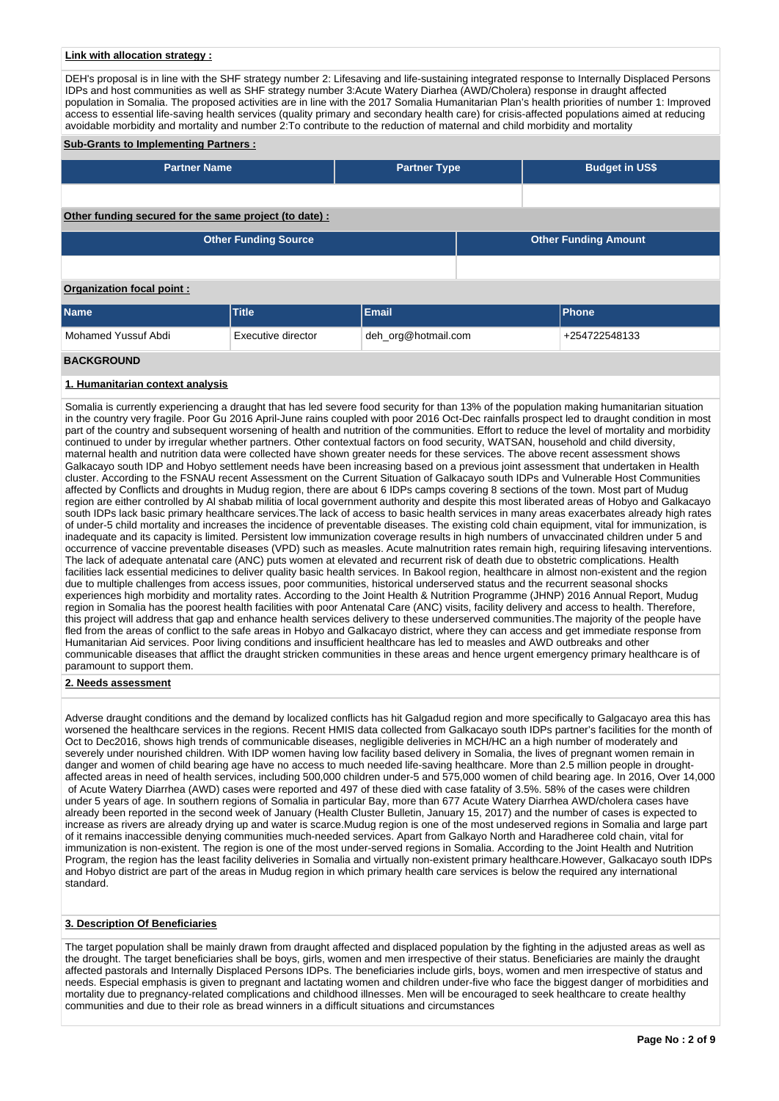## **Link with allocation strategy :**

DEH's proposal is in line with the SHF strategy number 2: Lifesaving and life-sustaining integrated response to Internally Displaced Persons IDPs and host communities as well as SHF strategy number 3:Acute Watery Diarhea (AWD/Cholera) response in draught affected population in Somalia. The proposed activities are in line with the 2017 Somalia Humanitarian Plan's health priorities of number 1: Improved access to essential life-saving health services (quality primary and secondary health care) for crisis-affected populations aimed at reducing avoidable morbidity and mortality and number 2:To contribute to the reduction of maternal and child morbidity and mortality

#### **Sub-Grants to Implementing Partners :**

| <b>Partner Name</b>                                   | <b>Partner Type</b> | <b>Budget in US\$</b>       |
|-------------------------------------------------------|---------------------|-----------------------------|
|                                                       |                     |                             |
| Other funding secured for the same project (to date): |                     |                             |
| <b>Other Funding Source</b>                           |                     | <b>Other Funding Amount</b> |

#### **Organization focal point :**

| <b>Name</b>         | <b>Title</b>       | <b>Email</b>        | <b>Phone</b>  |
|---------------------|--------------------|---------------------|---------------|
| Mohamed Yussuf Abdi | Executive director | deh_org@hotmail.com | +254722548133 |
| <b>BACKGROUND</b>   |                    |                     |               |

#### **1. Humanitarian context analysis**

Somalia is currently experiencing a draught that has led severe food security for than 13% of the population making humanitarian situation in the country very fragile. Poor Gu 2016 April-June rains coupled with poor 2016 Oct-Dec rainfalls prospect led to draught condition in most part of the country and subsequent worsening of health and nutrition of the communities. Effort to reduce the level of mortality and morbidity continued to under by irregular whether partners. Other contextual factors on food security, WATSAN, household and child diversity, maternal health and nutrition data were collected have shown greater needs for these services. The above recent assessment shows Galkacayo south IDP and Hobyo settlement needs have been increasing based on a previous joint assessment that undertaken in Health cluster. According to the FSNAU recent Assessment on the Current Situation of Galkacayo south IDPs and Vulnerable Host Communities affected by Conflicts and droughts in Mudug region, there are about 6 IDPs camps covering 8 sections of the town. Most part of Mudug region are either controlled by Al shabab militia of local government authority and despite this most liberated areas of Hobyo and Galkacayo south IDPs lack basic primary healthcare services.The lack of access to basic health services in many areas exacerbates already high rates of under-5 child mortality and increases the incidence of preventable diseases. The existing cold chain equipment, vital for immunization, is inadequate and its capacity is limited. Persistent low immunization coverage results in high numbers of unvaccinated children under 5 and occurrence of vaccine preventable diseases (VPD) such as measles. Acute malnutrition rates remain high, requiring lifesaving interventions. The lack of adequate antenatal care (ANC) puts women at elevated and recurrent risk of death due to obstetric complications. Health facilities lack essential medicines to deliver quality basic health services. In Bakool region, healthcare in almost non-existent and the region due to multiple challenges from access issues, poor communities, historical underserved status and the recurrent seasonal shocks experiences high morbidity and mortality rates. According to the Joint Health & Nutrition Programme (JHNP) 2016 Annual Report, Mudug region in Somalia has the poorest health facilities with poor Antenatal Care (ANC) visits, facility delivery and access to health. Therefore, this project will address that gap and enhance health services delivery to these underserved communities.The majority of the people have fled from the areas of conflict to the safe areas in Hobyo and Galkacayo district, where they can access and get immediate response from Humanitarian Aid services. Poor living conditions and insufficient healthcare has led to measles and AWD outbreaks and other communicable diseases that afflict the draught stricken communities in these areas and hence urgent emergency primary healthcare is of paramount to support them.

#### **2. Needs assessment**

Adverse draught conditions and the demand by localized conflicts has hit Galgadud region and more specifically to Galgacayo area this has worsened the healthcare services in the regions. Recent HMIS data collected from Galkacayo south IDPs partner's facilities for the month of Oct to Dec2016, shows high trends of communicable diseases, negligible deliveries in MCH/HC an a high number of moderately and severely under nourished children. With IDP women having low facility based delivery in Somalia, the lives of pregnant women remain in danger and women of child bearing age have no access to much needed life-saving healthcare. More than 2.5 million people in droughtaffected areas in need of health services, including 500,000 children under-5 and 575,000 women of child bearing age. In 2016, Over 14,000 of Acute Watery Diarrhea (AWD) cases were reported and 497 of these died with case fatality of 3.5%. 58% of the cases were children under 5 years of age. In southern regions of Somalia in particular Bay, more than 677 Acute Watery Diarrhea AWD/cholera cases have already been reported in the second week of January (Health Cluster Bulletin, January 15, 2017) and the number of cases is expected to increase as rivers are already drying up and water is scarce.Mudug region is one of the most undeserved regions in Somalia and large part of it remains inaccessible denying communities much-needed services. Apart from Galkayo North and Haradheree cold chain, vital for immunization is non-existent. The region is one of the most under-served regions in Somalia. According to the Joint Health and Nutrition Program, the region has the least facility deliveries in Somalia and virtually non-existent primary healthcare.However, Galkacayo south IDPs and Hobyo district are part of the areas in Mudug region in which primary health care services is below the required any international standard.

## **3. Description Of Beneficiaries**

The target population shall be mainly drawn from draught affected and displaced population by the fighting in the adjusted areas as well as the drought. The target beneficiaries shall be boys, girls, women and men irrespective of their status. Beneficiaries are mainly the draught affected pastorals and Internally Displaced Persons IDPs. The beneficiaries include girls, boys, women and men irrespective of status and needs. Especial emphasis is given to pregnant and lactating women and children under-five who face the biggest danger of morbidities and mortality due to pregnancy-related complications and childhood illnesses. Men will be encouraged to seek healthcare to create healthy communities and due to their role as bread winners in a difficult situations and circumstances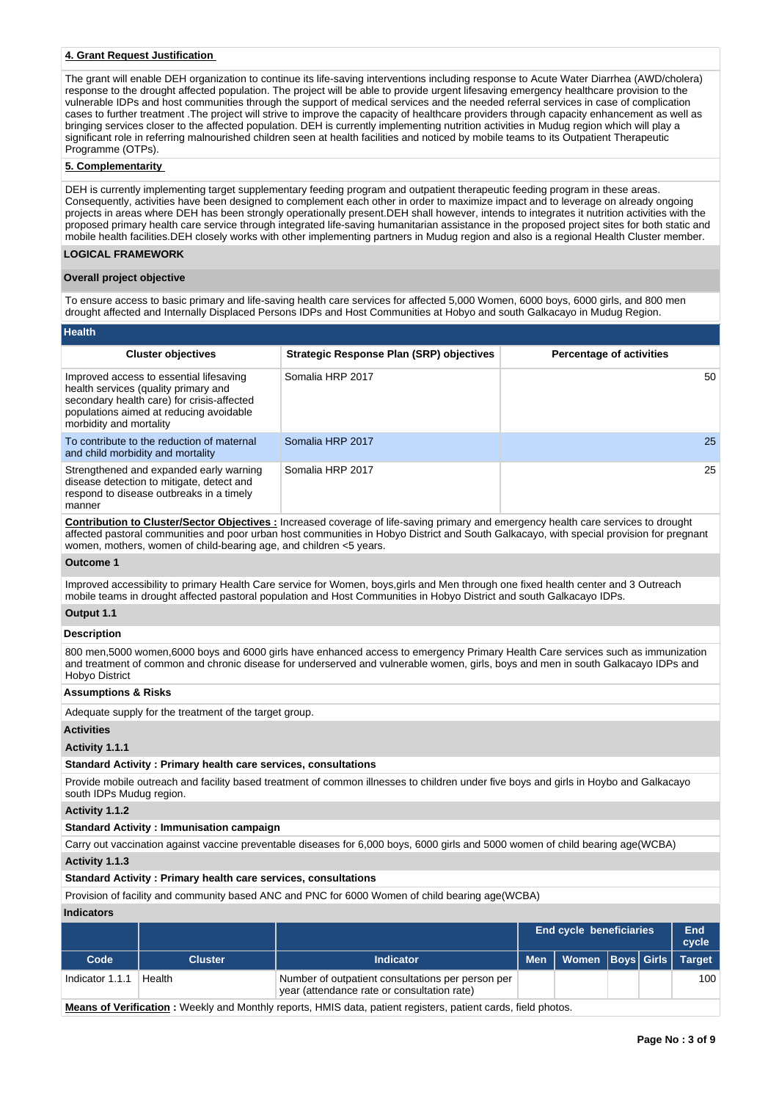## **4. Grant Request Justification**

The grant will enable DEH organization to continue its life-saving interventions including response to Acute Water Diarrhea (AWD/cholera) response to the drought affected population. The project will be able to provide urgent lifesaving emergency healthcare provision to the vulnerable IDPs and host communities through the support of medical services and the needed referral services in case of complication cases to further treatment .The project will strive to improve the capacity of healthcare providers through capacity enhancement as well as bringing services closer to the affected population. DEH is currently implementing nutrition activities in Mudug region which will play a significant role in referring malnourished children seen at health facilities and noticed by mobile teams to its Outpatient Therapeutic Programme (OTPs).

## **5. Complementarity**

DEH is currently implementing target supplementary feeding program and outpatient therapeutic feeding program in these areas. Consequently, activities have been designed to complement each other in order to maximize impact and to leverage on already ongoing projects in areas where DEH has been strongly operationally present.DEH shall however, intends to integrates it nutrition activities with the proposed primary health care service through integrated life-saving humanitarian assistance in the proposed project sites for both static and mobile health facilities.DEH closely works with other implementing partners in Mudug region and also is a regional Health Cluster member. **LOGICAL FRAMEWORK**

### **Overall project objective**

To ensure access to basic primary and life-saving health care services for affected 5,000 Women, 6000 boys, 6000 girls, and 800 men drought affected and Internally Displaced Persons IDPs and Host Communities at Hobyo and south Galkacayo in Mudug Region.

| <b>Health</b>                                                                                                                                                                                       |                                                 |                                 |
|-----------------------------------------------------------------------------------------------------------------------------------------------------------------------------------------------------|-------------------------------------------------|---------------------------------|
| <b>Cluster objectives</b>                                                                                                                                                                           | <b>Strategic Response Plan (SRP) objectives</b> | <b>Percentage of activities</b> |
| Improved access to essential lifesaving<br>health services (quality primary and<br>secondary health care) for crisis-affected<br>populations aimed at reducing avoidable<br>morbidity and mortality | Somalia HRP 2017                                | 50                              |
| To contribute to the reduction of maternal<br>and child morbidity and mortality                                                                                                                     | Somalia HRP 2017                                | 25                              |
| Strengthened and expanded early warning<br>disease detection to mitigate, detect and<br>respond to disease outbreaks in a timely<br>manner                                                          | Somalia HRP 2017                                | 25                              |

**Contribution to Cluster/Sector Objectives :** Increased coverage of life-saving primary and emergency health care services to drought affected pastoral communities and poor urban host communities in Hobyo District and South Galkacayo, with special provision for pregnant women, mothers, women of child-bearing age, and children <5 years.

### **Outcome 1**

Improved accessibility to primary Health Care service for Women, boys,girls and Men through one fixed health center and 3 Outreach mobile teams in drought affected pastoral population and Host Communities in Hobyo District and south Galkacayo IDPs.

# **Output 1.1**

# **Description**

800 men,5000 women,6000 boys and 6000 girls have enhanced access to emergency Primary Health Care services such as immunization and treatment of common and chronic disease for underserved and vulnerable women, girls, boys and men in south Galkacayo IDPs and Hobyo District

# **Assumptions & Risks**

Adequate supply for the treatment of the target group.

#### **Activities**

### **Activity 1.1.1**

### **Standard Activity : Primary health care services, consultations**

Provide mobile outreach and facility based treatment of common illnesses to children under five boys and girls in Hoybo and Galkacayo south IDPs Mudug region.

#### **Activity 1.1.2**

#### **Standard Activity : Immunisation campaign**

Carry out vaccination against vaccine preventable diseases for 6,000 boys, 6000 girls and 5000 women of child bearing age(WCBA) **Activity 1.1.3** 

# **Standard Activity : Primary health care services, consultations**

Provision of facility and community based ANC and PNC for 6000 Women of child bearing age(WCBA)

#### **Indicators**

|                   |                |                                                                                                  | <b>End cycle beneficiaries</b> |                               |  | End<br>cycle |     |
|-------------------|----------------|--------------------------------------------------------------------------------------------------|--------------------------------|-------------------------------|--|--------------|-----|
| Code <sup>1</sup> | <b>Cluster</b> | <b>Indicator</b>                                                                                 | <b>Men</b>                     | Women   Boys   Girls   Target |  |              |     |
| Indicator 1.1.1   | Health         | Number of outpatient consultations per person per<br>year (attendance rate or consultation rate) |                                |                               |  |              | 100 |

**Means of Verification :** Weekly and Monthly reports, HMIS data, patient registers, patient cards, field photos.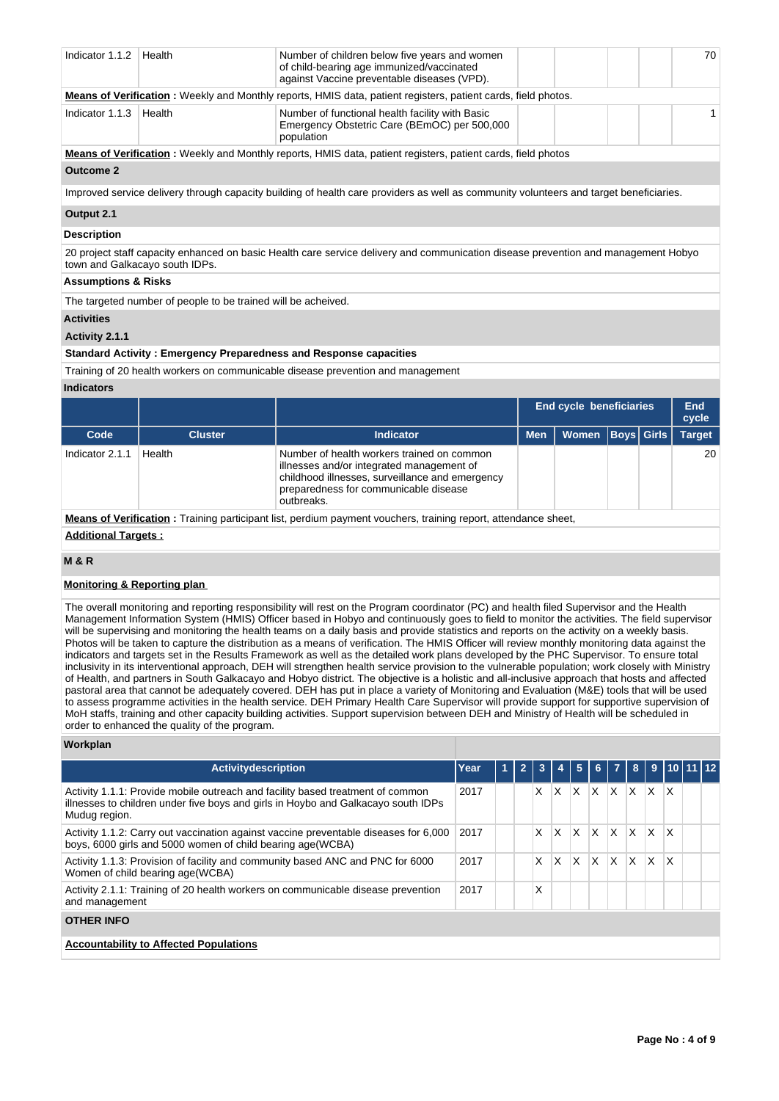| Indicator 1.1.2                        | Health                                                        | Number of children below five years and women<br>of child-bearing age immunized/vaccinated<br>against Vaccine preventable diseases (VPD).                                                                                                                                                                                                                                                                                                                                                                                                                                                                                                                                                                                                                                                                                                                                                                                                                                                                                                                                                                                                                                                                                                                                                                                                                                                                                                                                       |           |              |        |                         |   |                   | 70                  |
|----------------------------------------|---------------------------------------------------------------|---------------------------------------------------------------------------------------------------------------------------------------------------------------------------------------------------------------------------------------------------------------------------------------------------------------------------------------------------------------------------------------------------------------------------------------------------------------------------------------------------------------------------------------------------------------------------------------------------------------------------------------------------------------------------------------------------------------------------------------------------------------------------------------------------------------------------------------------------------------------------------------------------------------------------------------------------------------------------------------------------------------------------------------------------------------------------------------------------------------------------------------------------------------------------------------------------------------------------------------------------------------------------------------------------------------------------------------------------------------------------------------------------------------------------------------------------------------------------------|-----------|--------------|--------|-------------------------|---|-------------------|---------------------|
|                                        |                                                               | <b>Means of Verification</b> : Weekly and Monthly reports, HMIS data, patient registers, patient cards, field photos.                                                                                                                                                                                                                                                                                                                                                                                                                                                                                                                                                                                                                                                                                                                                                                                                                                                                                                                                                                                                                                                                                                                                                                                                                                                                                                                                                           |           |              |        |                         |   |                   |                     |
| Indicator 1.1.3                        | Health                                                        | Number of functional health facility with Basic<br>Emergency Obstetric Care (BEmOC) per 500,000<br>population                                                                                                                                                                                                                                                                                                                                                                                                                                                                                                                                                                                                                                                                                                                                                                                                                                                                                                                                                                                                                                                                                                                                                                                                                                                                                                                                                                   |           |              |        |                         |   |                   | 1                   |
|                                        |                                                               | <b>Means of Verification</b> : Weekly and Monthly reports, HMIS data, patient registers, patient cards, field photos                                                                                                                                                                                                                                                                                                                                                                                                                                                                                                                                                                                                                                                                                                                                                                                                                                                                                                                                                                                                                                                                                                                                                                                                                                                                                                                                                            |           |              |        |                         |   |                   |                     |
| <b>Outcome 2</b>                       |                                                               |                                                                                                                                                                                                                                                                                                                                                                                                                                                                                                                                                                                                                                                                                                                                                                                                                                                                                                                                                                                                                                                                                                                                                                                                                                                                                                                                                                                                                                                                                 |           |              |        |                         |   |                   |                     |
|                                        |                                                               | Improved service delivery through capacity building of health care providers as well as community volunteers and target beneficiaries.                                                                                                                                                                                                                                                                                                                                                                                                                                                                                                                                                                                                                                                                                                                                                                                                                                                                                                                                                                                                                                                                                                                                                                                                                                                                                                                                          |           |              |        |                         |   |                   |                     |
| Output 2.1                             |                                                               |                                                                                                                                                                                                                                                                                                                                                                                                                                                                                                                                                                                                                                                                                                                                                                                                                                                                                                                                                                                                                                                                                                                                                                                                                                                                                                                                                                                                                                                                                 |           |              |        |                         |   |                   |                     |
| <b>Description</b>                     |                                                               |                                                                                                                                                                                                                                                                                                                                                                                                                                                                                                                                                                                                                                                                                                                                                                                                                                                                                                                                                                                                                                                                                                                                                                                                                                                                                                                                                                                                                                                                                 |           |              |        |                         |   |                   |                     |
|                                        | town and Galkacayo south IDPs.                                | 20 project staff capacity enhanced on basic Health care service delivery and communication disease prevention and management Hobyo                                                                                                                                                                                                                                                                                                                                                                                                                                                                                                                                                                                                                                                                                                                                                                                                                                                                                                                                                                                                                                                                                                                                                                                                                                                                                                                                              |           |              |        |                         |   |                   |                     |
| <b>Assumptions &amp; Risks</b>         |                                                               |                                                                                                                                                                                                                                                                                                                                                                                                                                                                                                                                                                                                                                                                                                                                                                                                                                                                                                                                                                                                                                                                                                                                                                                                                                                                                                                                                                                                                                                                                 |           |              |        |                         |   |                   |                     |
|                                        | The targeted number of people to be trained will be acheived. |                                                                                                                                                                                                                                                                                                                                                                                                                                                                                                                                                                                                                                                                                                                                                                                                                                                                                                                                                                                                                                                                                                                                                                                                                                                                                                                                                                                                                                                                                 |           |              |        |                         |   |                   |                     |
| <b>Activities</b>                      |                                                               |                                                                                                                                                                                                                                                                                                                                                                                                                                                                                                                                                                                                                                                                                                                                                                                                                                                                                                                                                                                                                                                                                                                                                                                                                                                                                                                                                                                                                                                                                 |           |              |        |                         |   |                   |                     |
| Activity 2.1.1                         |                                                               |                                                                                                                                                                                                                                                                                                                                                                                                                                                                                                                                                                                                                                                                                                                                                                                                                                                                                                                                                                                                                                                                                                                                                                                                                                                                                                                                                                                                                                                                                 |           |              |        |                         |   |                   |                     |
|                                        |                                                               | <b>Standard Activity: Emergency Preparedness and Response capacities</b>                                                                                                                                                                                                                                                                                                                                                                                                                                                                                                                                                                                                                                                                                                                                                                                                                                                                                                                                                                                                                                                                                                                                                                                                                                                                                                                                                                                                        |           |              |        |                         |   |                   |                     |
|                                        |                                                               | Training of 20 health workers on communicable disease prevention and management                                                                                                                                                                                                                                                                                                                                                                                                                                                                                                                                                                                                                                                                                                                                                                                                                                                                                                                                                                                                                                                                                                                                                                                                                                                                                                                                                                                                 |           |              |        |                         |   |                   |                     |
| <b>Indicators</b>                      |                                                               |                                                                                                                                                                                                                                                                                                                                                                                                                                                                                                                                                                                                                                                                                                                                                                                                                                                                                                                                                                                                                                                                                                                                                                                                                                                                                                                                                                                                                                                                                 |           |              |        |                         |   |                   |                     |
|                                        |                                                               |                                                                                                                                                                                                                                                                                                                                                                                                                                                                                                                                                                                                                                                                                                                                                                                                                                                                                                                                                                                                                                                                                                                                                                                                                                                                                                                                                                                                                                                                                 |           |              |        | End cycle beneficiaries |   |                   | <b>End</b><br>cycle |
|                                        |                                                               |                                                                                                                                                                                                                                                                                                                                                                                                                                                                                                                                                                                                                                                                                                                                                                                                                                                                                                                                                                                                                                                                                                                                                                                                                                                                                                                                                                                                                                                                                 |           |              |        |                         |   |                   |                     |
| Code                                   | <b>Cluster</b>                                                | <b>Indicator</b>                                                                                                                                                                                                                                                                                                                                                                                                                                                                                                                                                                                                                                                                                                                                                                                                                                                                                                                                                                                                                                                                                                                                                                                                                                                                                                                                                                                                                                                                |           | <b>Men</b>   |        | <b>Women</b>            |   | <b>Boys Girls</b> | <b>Target</b>       |
| Indicator 2.1.1                        | Health                                                        | Number of health workers trained on common<br>illnesses and/or integrated management of<br>childhood illnesses, surveillance and emergency<br>preparedness for communicable disease<br>outbreaks.                                                                                                                                                                                                                                                                                                                                                                                                                                                                                                                                                                                                                                                                                                                                                                                                                                                                                                                                                                                                                                                                                                                                                                                                                                                                               |           |              |        |                         |   |                   | 20                  |
|                                        |                                                               | <b>Means of Verification</b> : Training participant list, perdium payment vouchers, training report, attendance sheet,                                                                                                                                                                                                                                                                                                                                                                                                                                                                                                                                                                                                                                                                                                                                                                                                                                                                                                                                                                                                                                                                                                                                                                                                                                                                                                                                                          |           |              |        |                         |   |                   |                     |
| <b>Additional Targets:</b>             |                                                               |                                                                                                                                                                                                                                                                                                                                                                                                                                                                                                                                                                                                                                                                                                                                                                                                                                                                                                                                                                                                                                                                                                                                                                                                                                                                                                                                                                                                                                                                                 |           |              |        |                         |   |                   |                     |
| <b>M &amp; R</b>                       |                                                               |                                                                                                                                                                                                                                                                                                                                                                                                                                                                                                                                                                                                                                                                                                                                                                                                                                                                                                                                                                                                                                                                                                                                                                                                                                                                                                                                                                                                                                                                                 |           |              |        |                         |   |                   |                     |
| <b>Monitoring &amp; Reporting plan</b> |                                                               |                                                                                                                                                                                                                                                                                                                                                                                                                                                                                                                                                                                                                                                                                                                                                                                                                                                                                                                                                                                                                                                                                                                                                                                                                                                                                                                                                                                                                                                                                 |           |              |        |                         |   |                   |                     |
|                                        | order to enhanced the quality of the program.                 | The overall monitoring and reporting responsibility will rest on the Program coordinator (PC) and health filed Supervisor and the Health<br>Management Information System (HMIS) Officer based in Hobyo and continuously goes to field to monitor the activities. The field supervisor<br>will be supervising and monitoring the health teams on a daily basis and provide statistics and reports on the activity on a weekly basis.<br>Photos will be taken to capture the distribution as a means of verification. The HMIS Officer will review monthly monitoring data against the<br>indicators and targets set in the Results Framework as well as the detailed work plans developed by the PHC Supervisor. To ensure total<br>inclusivity in its interventional approach, DEH will strengthen health service provision to the vulnerable population; work closely with Ministry<br>of Health, and partners in South Galkacayo and Hobyo district. The objective is a holistic and all-inclusive approach that hosts and affected<br>pastoral area that cannot be adequately covered. DEH has put in place a variety of Monitoring and Evaluation (M&E) tools that will be used<br>to assess programme activities in the health service. DEH Primary Health Care Supervisor will provide support for supportive supervision of<br>MoH staffs, training and other capacity building activities. Support supervision between DEH and Ministry of Health will be scheduled in |           |              |        |                         |   |                   |                     |
| Workplan                               |                                                               |                                                                                                                                                                                                                                                                                                                                                                                                                                                                                                                                                                                                                                                                                                                                                                                                                                                                                                                                                                                                                                                                                                                                                                                                                                                                                                                                                                                                                                                                                 |           |              |        |                         |   |                   |                     |
|                                        | <b>Activitydescription</b>                                    |                                                                                                                                                                                                                                                                                                                                                                                                                                                                                                                                                                                                                                                                                                                                                                                                                                                                                                                                                                                                                                                                                                                                                                                                                                                                                                                                                                                                                                                                                 | Year<br>1 | $\mathbf{2}$ | 3<br>4 | 5<br>6                  | 7 | 8<br>9            | 10 11 12            |

| Activity 1.1.1: Provide mobile outreach and facility based treatment of common<br>illnesses to children under five boys and girls in Hoybo and Galkacayo south IDPs<br>Mudug region. | 2017 | X  | IX. | X. | X                         | ΙX           | $ X $ $ X $ |          |              |  |
|--------------------------------------------------------------------------------------------------------------------------------------------------------------------------------------|------|----|-----|----|---------------------------|--------------|-------------|----------|--------------|--|
| Activity 1.1.2: Carry out vaccination against vaccine preventable diseases for 6,000<br>boys, 6000 girls and 5000 women of child bearing age(WCBA)                                   | 2017 | X. | X.  | x  | X                         | ΙX           | X.          | <b>X</b> | <b>X</b>     |  |
| Activity 1.1.3: Provision of facility and community based ANC and PNC for 6000<br>Women of child bearing age(WCBA)                                                                   | 2017 | X. | ΙX. | X  | $\boldsymbol{\mathsf{x}}$ | $\mathsf{x}$ | IX.         | $\times$ | <sup>X</sup> |  |
| Activity 2.1.1: Training of 20 health workers on communicable disease prevention<br>and management                                                                                   | 2017 | Χ  |     |    |                           |              |             |          |              |  |
| <b>OTHER INFO</b>                                                                                                                                                                    |      |    |     |    |                           |              |             |          |              |  |
| <b>Accountability to Affected Populations</b>                                                                                                                                        |      |    |     |    |                           |              |             |          |              |  |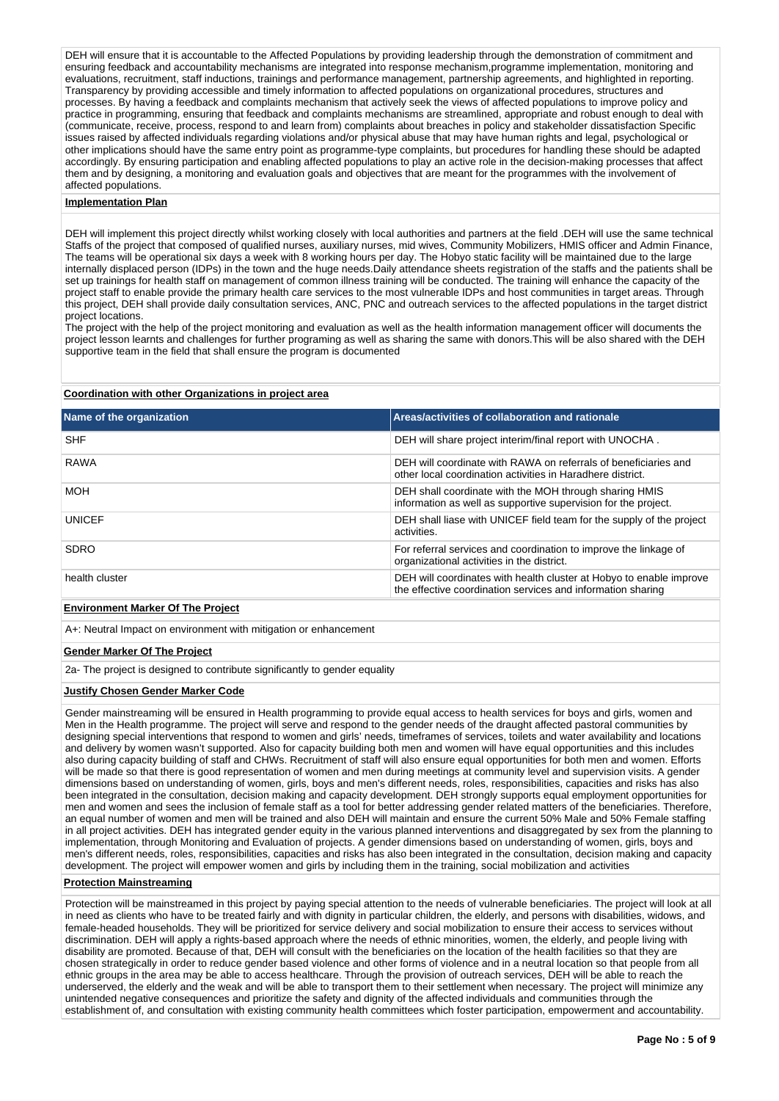DEH will ensure that it is accountable to the Affected Populations by providing leadership through the demonstration of commitment and ensuring feedback and accountability mechanisms are integrated into response mechanism,programme implementation, monitoring and evaluations, recruitment, staff inductions, trainings and performance management, partnership agreements, and highlighted in reporting. Transparency by providing accessible and timely information to affected populations on organizational procedures, structures and processes. By having a feedback and complaints mechanism that actively seek the views of affected populations to improve policy and practice in programming, ensuring that feedback and complaints mechanisms are streamlined, appropriate and robust enough to deal with (communicate, receive, process, respond to and learn from) complaints about breaches in policy and stakeholder dissatisfaction Specific issues raised by affected individuals regarding violations and/or physical abuse that may have human rights and legal, psychological or other implications should have the same entry point as programme-type complaints, but procedures for handling these should be adapted accordingly. By ensuring participation and enabling affected populations to play an active role in the decision-making processes that affect them and by designing, a monitoring and evaluation goals and objectives that are meant for the programmes with the involvement of affected populations.

#### **Implementation Plan**

DEH will implement this project directly whilst working closely with local authorities and partners at the field .DEH will use the same technical Staffs of the project that composed of qualified nurses, auxiliary nurses, mid wives, Community Mobilizers, HMIS officer and Admin Finance, The teams will be operational six days a week with 8 working hours per day. The Hobyo static facility will be maintained due to the large internally displaced person (IDPs) in the town and the huge needs.Daily attendance sheets registration of the staffs and the patients shall be set up trainings for health staff on management of common illness training will be conducted. The training will enhance the capacity of the project staff to enable provide the primary health care services to the most vulnerable IDPs and host communities in target areas. Through this project, DEH shall provide daily consultation services, ANC, PNC and outreach services to the affected populations in the target district project locations.

The project with the help of the project monitoring and evaluation as well as the health information management officer will documents the project lesson learnts and challenges for further programing as well as sharing the same with donors.This will be also shared with the DEH supportive team in the field that shall ensure the program is documented

## **Coordination with other Organizations in project area**

| Name of the organization                 | Areas/activities of collaboration and rationale                                                                                    |
|------------------------------------------|------------------------------------------------------------------------------------------------------------------------------------|
| <b>SHF</b>                               | DEH will share project interim/final report with UNOCHA.                                                                           |
| <b>RAWA</b>                              | DEH will coordinate with RAWA on referrals of beneficiaries and<br>other local coordination activities in Haradhere district.      |
| <b>MOH</b>                               | DEH shall coordinate with the MOH through sharing HMIS<br>information as well as supportive supervision for the project.           |
| <b>UNICEF</b>                            | DEH shall liase with UNICEF field team for the supply of the project<br>activities.                                                |
| <b>SDRO</b>                              | For referral services and coordination to improve the linkage of<br>organizational activities in the district.                     |
| health cluster                           | DEH will coordinates with health cluster at Hobyo to enable improve<br>the effective coordination services and information sharing |
| <b>Environment Marker Of The Project</b> |                                                                                                                                    |

A+: Neutral Impact on environment with mitigation or enhancement

#### **Gender Marker Of The Project**

2a- The project is designed to contribute significantly to gender equality

#### **Justify Chosen Gender Marker Code**

Gender mainstreaming will be ensured in Health programming to provide equal access to health services for boys and girls, women and Men in the Health programme. The project will serve and respond to the gender needs of the draught affected pastoral communities by designing special interventions that respond to women and girls' needs, timeframes of services, toilets and water availability and locations and delivery by women wasn't supported. Also for capacity building both men and women will have equal opportunities and this includes also during capacity building of staff and CHWs. Recruitment of staff will also ensure equal opportunities for both men and women. Efforts will be made so that there is good representation of women and men during meetings at community level and supervision visits. A gender dimensions based on understanding of women, girls, boys and men's different needs, roles, responsibilities, capacities and risks has also been integrated in the consultation, decision making and capacity development. DEH strongly supports equal employment opportunities for men and women and sees the inclusion of female staff as a tool for better addressing gender related matters of the beneficiaries. Therefore, an equal number of women and men will be trained and also DEH will maintain and ensure the current 50% Male and 50% Female staffing in all project activities. DEH has integrated gender equity in the various planned interventions and disaggregated by sex from the planning to implementation, through Monitoring and Evaluation of projects. A gender dimensions based on understanding of women, girls, boys and men's different needs, roles, responsibilities, capacities and risks has also been integrated in the consultation, decision making and capacity development. The project will empower women and girls by including them in the training, social mobilization and activities

#### **Protection Mainstreaming**

Protection will be mainstreamed in this project by paying special attention to the needs of vulnerable beneficiaries. The project will look at all in need as clients who have to be treated fairly and with dignity in particular children, the elderly, and persons with disabilities, widows, and female-headed households. They will be prioritized for service delivery and social mobilization to ensure their access to services without discrimination. DEH will apply a rights-based approach where the needs of ethnic minorities, women, the elderly, and people living with disability are promoted. Because of that, DEH will consult with the beneficiaries on the location of the health facilities so that they are chosen strategically in order to reduce gender based violence and other forms of violence and in a neutral location so that people from all ethnic groups in the area may be able to access healthcare. Through the provision of outreach services, DEH will be able to reach the underserved, the elderly and the weak and will be able to transport them to their settlement when necessary. The project will minimize any unintended negative consequences and prioritize the safety and dignity of the affected individuals and communities through the establishment of, and consultation with existing community health committees which foster participation, empowerment and accountability.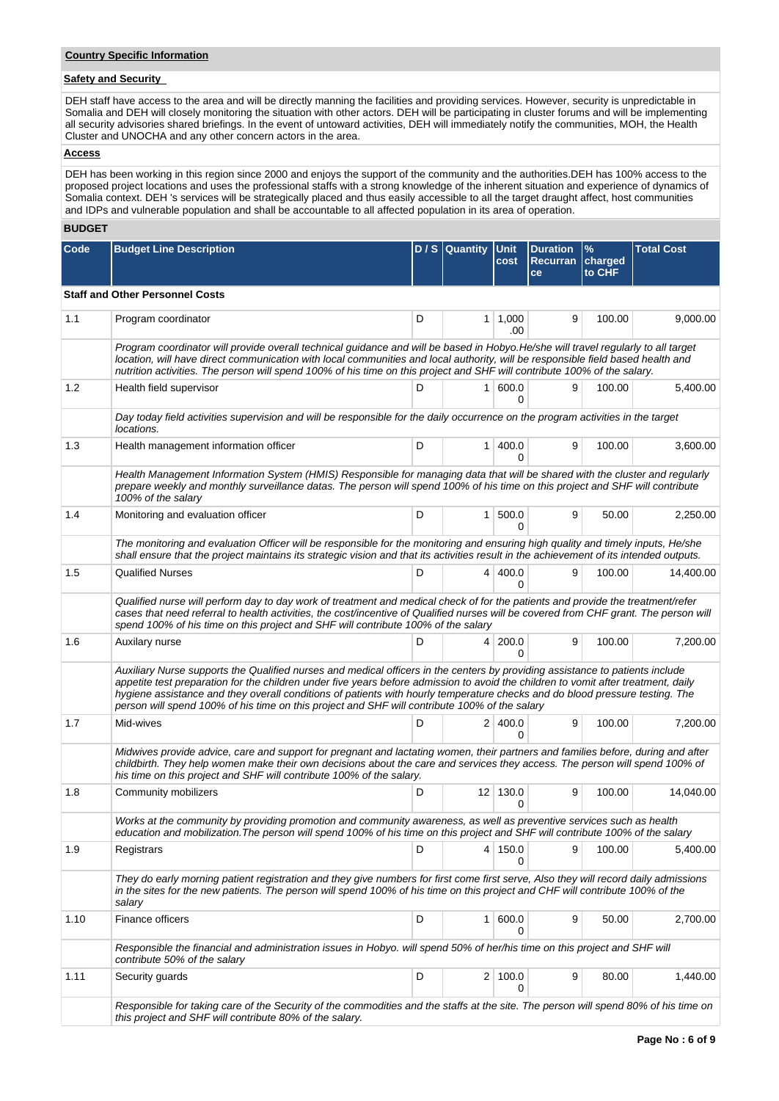# **Country Specific Information**

# **Safety and Security**

DEH staff have access to the area and will be directly manning the facilities and providing services. However, security is unpredictable in Somalia and DEH will closely monitoring the situation with other actors. DEH will be participating in cluster forums and will be implementing all security advisories shared briefings. In the event of untoward activities, DEH will immediately notify the communities, MOH, the Health Cluster and UNOCHA and any other concern actors in the area.

## **Access**

DEH has been working in this region since 2000 and enjoys the support of the community and the authorities.DEH has 100% access to the proposed project locations and uses the professional staffs with a strong knowledge of the inherent situation and experience of dynamics of Somalia context. DEH 's services will be strategically placed and thus easily accessible to all the target draught affect, host communities and IDPs and vulnerable population and shall be accountable to all affected population in its area of operation.

# **BUDGET**

| <b>Code</b> | <b>Budget Line Description</b>                                                                                                                                                                                                                                                                                                                                                                                                                                                                       |   | D / S Quantity | <b>Unit</b><br>cost    | <b>Duration</b><br>Recurran   charged<br>ce | $\frac{9}{6}$<br>to CHF | <b>Total Cost</b> |
|-------------|------------------------------------------------------------------------------------------------------------------------------------------------------------------------------------------------------------------------------------------------------------------------------------------------------------------------------------------------------------------------------------------------------------------------------------------------------------------------------------------------------|---|----------------|------------------------|---------------------------------------------|-------------------------|-------------------|
|             | <b>Staff and Other Personnel Costs</b>                                                                                                                                                                                                                                                                                                                                                                                                                                                               |   |                |                        |                                             |                         |                   |
| 1.1         | Program coordinator                                                                                                                                                                                                                                                                                                                                                                                                                                                                                  | D |                | $1 \mid 1,000$<br>.00. | 9                                           | 100.00                  | 9,000.00          |
|             | Program coordinator will provide overall technical guidance and will be based in Hobyo.He/she will travel regularly to all target<br>location, will have direct communication with local communities and local authority, will be responsible field based health and<br>nutrition activities. The person will spend 100% of his time on this project and SHF will contribute 100% of the salary.                                                                                                     |   |                |                        |                                             |                         |                   |
| 1.2         | Health field supervisor                                                                                                                                                                                                                                                                                                                                                                                                                                                                              | D | 1 <sup>1</sup> | 600.0<br>0             | 9                                           | 100.00                  | 5,400.00          |
|             | Day today field activities supervision and will be responsible for the daily occurrence on the program activities in the target<br>locations.                                                                                                                                                                                                                                                                                                                                                        |   |                |                        |                                             |                         |                   |
| 1.3         | Health management information officer                                                                                                                                                                                                                                                                                                                                                                                                                                                                | D | 1              | 400.0<br><sup>0</sup>  | 9                                           | 100.00                  | 3,600.00          |
|             | Health Management Information System (HMIS) Responsible for managing data that will be shared with the cluster and regularly<br>prepare weekly and monthly surveillance datas. The person will spend 100% of his time on this project and SHF will contribute<br>100% of the salary                                                                                                                                                                                                                  |   |                |                        |                                             |                         |                   |
| 1.4         | Monitoring and evaluation officer                                                                                                                                                                                                                                                                                                                                                                                                                                                                    | D | 1 <sup>1</sup> | 500.0<br>$\Omega$      | 9                                           | 50.00                   | 2,250.00          |
|             | The monitoring and evaluation Officer will be responsible for the monitoring and ensuring high quality and timely inputs, He/she<br>shall ensure that the project maintains its strategic vision and that its activities result in the achievement of its intended outputs.                                                                                                                                                                                                                          |   |                |                        |                                             |                         |                   |
| 1.5         | <b>Qualified Nurses</b>                                                                                                                                                                                                                                                                                                                                                                                                                                                                              | D | $\overline{4}$ | 400.0<br>0             | 9                                           | 100.00                  | 14,400.00         |
|             | Qualified nurse will perform day to day work of treatment and medical check of for the patients and provide the treatment/refer<br>cases that need referral to health activities, the cost/incentive of Qualified nurses will be covered from CHF grant. The person will<br>spend 100% of his time on this project and SHF will contribute 100% of the salary                                                                                                                                        |   |                |                        |                                             |                         |                   |
| 1.6         | Auxilary nurse                                                                                                                                                                                                                                                                                                                                                                                                                                                                                       | D | 4              | 200.0<br>$\Omega$      | 9                                           | 100.00                  | 7,200.00          |
|             | Auxiliary Nurse supports the Qualified nurses and medical officers in the centers by providing assistance to patients include<br>appetite test preparation for the children under five years before admission to avoid the children to vomit after treatment, daily<br>hygiene assistance and they overall conditions of patients with hourly temperature checks and do blood pressure testing. The<br>person will spend 100% of his time on this project and SHF will contribute 100% of the salary |   |                |                        |                                             |                         |                   |
| 1.7         | Mid-wives                                                                                                                                                                                                                                                                                                                                                                                                                                                                                            | D |                | 2 400.0<br>O           | 9                                           | 100.00                  | 7,200.00          |
|             | Midwives provide advice, care and support for pregnant and lactating women, their partners and families before, during and after<br>childbirth. They help women make their own decisions about the care and services they access. The person will spend 100% of<br>his time on this project and SHF will contribute 100% of the salary.                                                                                                                                                              |   |                |                        |                                             |                         |                   |
| 1.8         | Community mobilizers                                                                                                                                                                                                                                                                                                                                                                                                                                                                                 | D |                | $12$ 130.0<br>0        | 9                                           | 100.00                  | 14,040.00         |
|             | Works at the community by providing promotion and community awareness, as well as preventive services such as health<br>education and mobilization. The person will spend 100% of his time on this project and SHF will contribute 100% of the salary                                                                                                                                                                                                                                                |   |                |                        |                                             |                         |                   |
| 1.9         | Registrars                                                                                                                                                                                                                                                                                                                                                                                                                                                                                           | D |                | 4 150.0<br>0           | 9                                           | 100.00                  | 5,400.00          |
|             | They do early morning patient registration and they give numbers for first come first serve, Also they will record daily admissions<br>in the sites for the new patients. The person will spend 100% of his time on this project and CHF will contribute 100% of the<br>salary                                                                                                                                                                                                                       |   |                |                        |                                             |                         |                   |
| 1.10        | Finance officers                                                                                                                                                                                                                                                                                                                                                                                                                                                                                     | D | 1 <sup>1</sup> | 600.0                  | 9                                           | 50.00                   | 2,700.00          |
|             | Responsible the financial and administration issues in Hobyo. will spend 50% of her/his time on this project and SHF will<br>contribute 50% of the salary                                                                                                                                                                                                                                                                                                                                            |   |                |                        |                                             |                         |                   |
| 1.11        | Security guards                                                                                                                                                                                                                                                                                                                                                                                                                                                                                      | D |                | 2 100.0<br>0           | 9                                           | 80.00                   | 1,440.00          |
|             | Responsible for taking care of the Security of the commodities and the staffs at the site. The person will spend 80% of his time on<br>this project and SHF will contribute 80% of the salary.                                                                                                                                                                                                                                                                                                       |   |                |                        |                                             |                         |                   |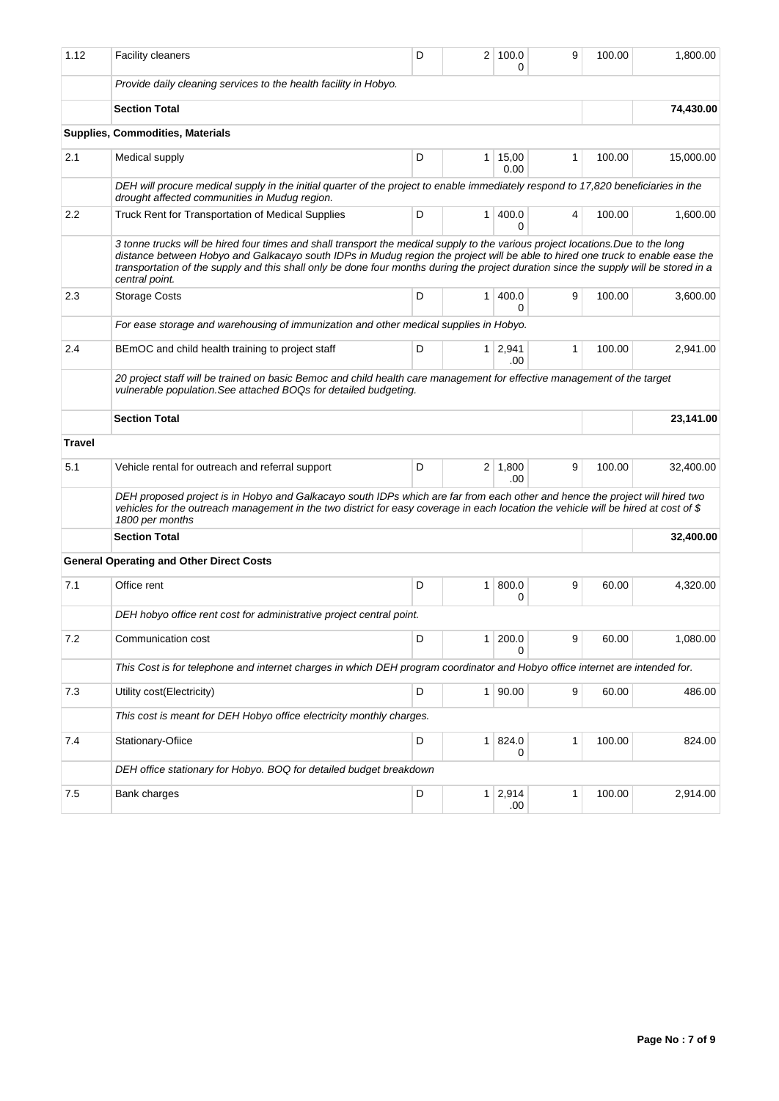| 1.12          | <b>Facility cleaners</b>                                                                                                                                                                                                                                                                                                                                                                                                      | D |                | 2 100.0<br>0          | 9            | 100.00 | 1,800.00  |
|---------------|-------------------------------------------------------------------------------------------------------------------------------------------------------------------------------------------------------------------------------------------------------------------------------------------------------------------------------------------------------------------------------------------------------------------------------|---|----------------|-----------------------|--------------|--------|-----------|
|               | Provide daily cleaning services to the health facility in Hobyo.                                                                                                                                                                                                                                                                                                                                                              |   |                |                       |              |        |           |
|               | <b>Section Total</b>                                                                                                                                                                                                                                                                                                                                                                                                          |   |                |                       |              |        | 74,430.00 |
|               | <b>Supplies, Commodities, Materials</b>                                                                                                                                                                                                                                                                                                                                                                                       |   |                |                       |              |        |           |
| 2.1           | Medical supply                                                                                                                                                                                                                                                                                                                                                                                                                | D | $\mathbf{1}$   | 15,00<br>0.00         | 1            | 100.00 | 15,000.00 |
|               | DEH will procure medical supply in the initial quarter of the project to enable immediately respond to 17,820 beneficiaries in the<br>drought affected communities in Mudug region.                                                                                                                                                                                                                                           |   |                |                       |              |        |           |
| 2.2           | Truck Rent for Transportation of Medical Supplies                                                                                                                                                                                                                                                                                                                                                                             | D | $\mathbf{1}$   | 400.0<br><sup>0</sup> | 4            | 100.00 | 1,600.00  |
|               | 3 tonne trucks will be hired four times and shall transport the medical supply to the various project locations. Due to the long<br>distance between Hobyo and Galkacayo south IDPs in Mudug region the project will be able to hired one truck to enable ease the<br>transportation of the supply and this shall only be done four months during the project duration since the supply will be stored in a<br>central point. |   |                |                       |              |        |           |
| 2.3           | <b>Storage Costs</b>                                                                                                                                                                                                                                                                                                                                                                                                          | D | $\mathbf{1}$   | 400.0<br>$\Omega$     | 9            | 100.00 | 3,600.00  |
|               | For ease storage and warehousing of immunization and other medical supplies in Hobyo.                                                                                                                                                                                                                                                                                                                                         |   |                |                       |              |        |           |
| 2.4           | BEmOC and child health training to project staff                                                                                                                                                                                                                                                                                                                                                                              | D |                | $1 \mid 2,941$<br>.00 | $\mathbf{1}$ | 100.00 | 2,941.00  |
|               | 20 project staff will be trained on basic Bemoc and child health care management for effective management of the target<br>vulnerable population. See attached BOQs for detailed budgeting.                                                                                                                                                                                                                                   |   |                |                       |              |        |           |
|               | <b>Section Total</b>                                                                                                                                                                                                                                                                                                                                                                                                          |   |                |                       |              |        | 23,141.00 |
| <b>Travel</b> |                                                                                                                                                                                                                                                                                                                                                                                                                               |   |                |                       |              |        |           |
| 5.1           | Vehicle rental for outreach and referral support                                                                                                                                                                                                                                                                                                                                                                              | D |                | $2 \mid 1,800$<br>.00 | 9            | 100.00 | 32,400.00 |
|               | DEH proposed project is in Hobyo and Galkacayo south IDPs which are far from each other and hence the project will hired two<br>vehicles for the outreach management in the two district for easy coverage in each location the vehicle will be hired at cost of \$<br>1800 per months                                                                                                                                        |   |                |                       |              |        |           |
|               | <b>Section Total</b>                                                                                                                                                                                                                                                                                                                                                                                                          |   |                |                       |              |        | 32,400.00 |
|               | <b>General Operating and Other Direct Costs</b>                                                                                                                                                                                                                                                                                                                                                                               |   |                |                       |              |        |           |
| 7.1           | Office rent                                                                                                                                                                                                                                                                                                                                                                                                                   | D | $\mathbf{1}$   | 800.0<br>0            | 9            | 60.00  | 4,320.00  |
|               | DEH hobyo office rent cost for administrative project central point.                                                                                                                                                                                                                                                                                                                                                          |   |                |                       |              |        |           |
| 7.2           | Communication cost                                                                                                                                                                                                                                                                                                                                                                                                            | D | 1              | 200.0<br>0            | 9            | 60.00  | 1,080.00  |
|               | This Cost is for telephone and internet charges in which DEH program coordinator and Hobyo office internet are intended for.                                                                                                                                                                                                                                                                                                  |   |                |                       |              |        |           |
| 7.3           | Utility cost(Electricity)                                                                                                                                                                                                                                                                                                                                                                                                     | D | 1 <sup>1</sup> | 90.00                 | 9            | 60.00  | 486.00    |
|               | This cost is meant for DEH Hobyo office electricity monthly charges.                                                                                                                                                                                                                                                                                                                                                          |   |                |                       |              |        |           |
| 7.4           | Stationary-Ofiice                                                                                                                                                                                                                                                                                                                                                                                                             | D | 1 <sup>1</sup> | 824.0<br>0            | 1            | 100.00 | 824.00    |
|               | DEH office stationary for Hobyo. BOQ for detailed budget breakdown                                                                                                                                                                                                                                                                                                                                                            |   |                |                       |              |        |           |
| 7.5           | Bank charges                                                                                                                                                                                                                                                                                                                                                                                                                  | D | 1              | 2,914<br>.00          | 1            | 100.00 | 2,914.00  |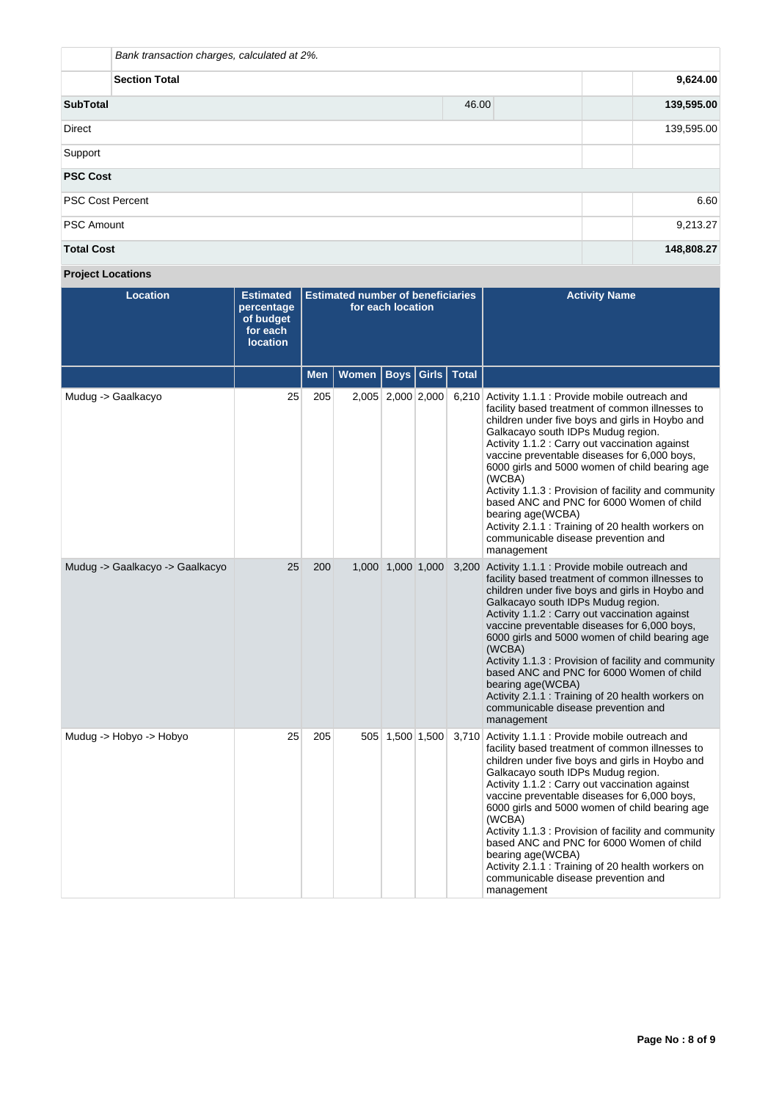| Bank transaction charges, calculated at 2%. |       |            |  |  |  |  |
|---------------------------------------------|-------|------------|--|--|--|--|
| <b>Section Total</b>                        |       |            |  |  |  |  |
| <b>SubTotal</b>                             | 46.00 | 139,595.00 |  |  |  |  |
| <b>Direct</b>                               |       | 139,595.00 |  |  |  |  |
| Support                                     |       |            |  |  |  |  |
| <b>PSC Cost</b>                             |       |            |  |  |  |  |
| <b>PSC Cost Percent</b>                     |       | 6.60       |  |  |  |  |
| <b>PSC Amount</b>                           |       | 9,213.27   |  |  |  |  |
| <b>Total Cost</b>                           |       | 148,808.27 |  |  |  |  |

**Project Locations**

| <b>Location</b>                 | <b>Estimated</b><br>percentage<br>of budget<br>for each<br><b>location</b> | <b>Estimated number of beneficiaries</b><br>for each location |              |                   |       |              | <b>Activity Name</b>                                                                                                                                                                                                                                                                                                                                                                                                                                                                                                                                                                             |
|---------------------------------|----------------------------------------------------------------------------|---------------------------------------------------------------|--------------|-------------------|-------|--------------|--------------------------------------------------------------------------------------------------------------------------------------------------------------------------------------------------------------------------------------------------------------------------------------------------------------------------------------------------------------------------------------------------------------------------------------------------------------------------------------------------------------------------------------------------------------------------------------------------|
|                                 |                                                                            | <b>Men</b>                                                    | <b>Women</b> | <b>Boys</b>       | Girls | <b>Total</b> |                                                                                                                                                                                                                                                                                                                                                                                                                                                                                                                                                                                                  |
| Mudug -> Gaalkacyo              | 25                                                                         | 205                                                           |              | 2,005 2,000 2,000 |       |              | 6,210 Activity 1.1.1 : Provide mobile outreach and<br>facility based treatment of common illnesses to<br>children under five boys and girls in Hoybo and<br>Galkacayo south IDPs Mudug region.<br>Activity 1.1.2 : Carry out vaccination against<br>vaccine preventable diseases for 6,000 boys,<br>6000 girls and 5000 women of child bearing age<br>(WCBA)<br>Activity 1.1.3 : Provision of facility and community<br>based ANC and PNC for 6000 Women of child<br>bearing age(WCBA)<br>Activity 2.1.1 : Training of 20 health workers on<br>communicable disease prevention and<br>management |
| Mudug -> Gaalkacyo -> Gaalkacyo | 25                                                                         | 200                                                           |              | 1,000 1,000 1,000 |       |              | 3,200 Activity 1.1.1 : Provide mobile outreach and<br>facility based treatment of common illnesses to<br>children under five boys and girls in Hoybo and<br>Galkacayo south IDPs Mudug region.<br>Activity 1.1.2 : Carry out vaccination against<br>vaccine preventable diseases for 6,000 boys,<br>6000 girls and 5000 women of child bearing age<br>(WCBA)<br>Activity 1.1.3 : Provision of facility and community<br>based ANC and PNC for 6000 Women of child<br>bearing age(WCBA)<br>Activity 2.1.1 : Training of 20 health workers on<br>communicable disease prevention and<br>management |
| Mudug -> Hobyo -> Hobyo         | 25                                                                         | 205                                                           |              | 505 1,500 1,500   |       |              | 3,710 Activity 1.1.1 : Provide mobile outreach and<br>facility based treatment of common illnesses to<br>children under five boys and girls in Hoybo and<br>Galkacayo south IDPs Mudug region.<br>Activity 1.1.2 : Carry out vaccination against<br>vaccine preventable diseases for 6,000 boys,<br>6000 girls and 5000 women of child bearing age<br>(WCBA)<br>Activity 1.1.3 : Provision of facility and community<br>based ANC and PNC for 6000 Women of child<br>bearing age(WCBA)<br>Activity 2.1.1 : Training of 20 health workers on<br>communicable disease prevention and<br>management |